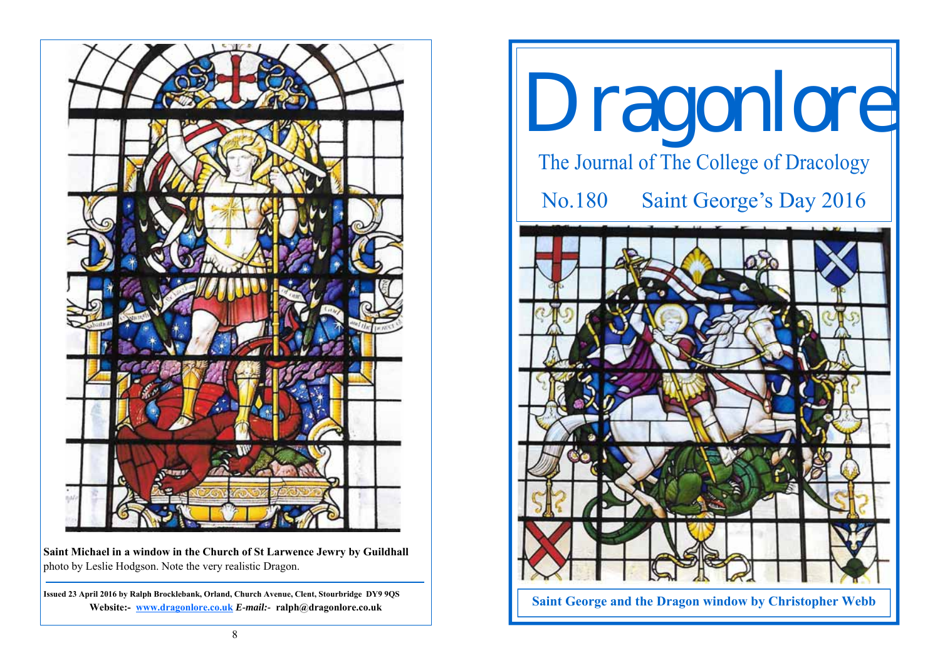

**Saint Michael in a window in the Church of St Larwence Jewry by Guildhall**  photo by Leslie Hodgson. Note the very realistic Dragon.

**Issued 23 April 2016 by Ralph Brocklebank, Orland, Church Avenue, Clent, Stourbridge DY9 9QS Website:- www.dragonlore.co.uk** *E-mail:-* **ralph@dragonlore.co.uk**

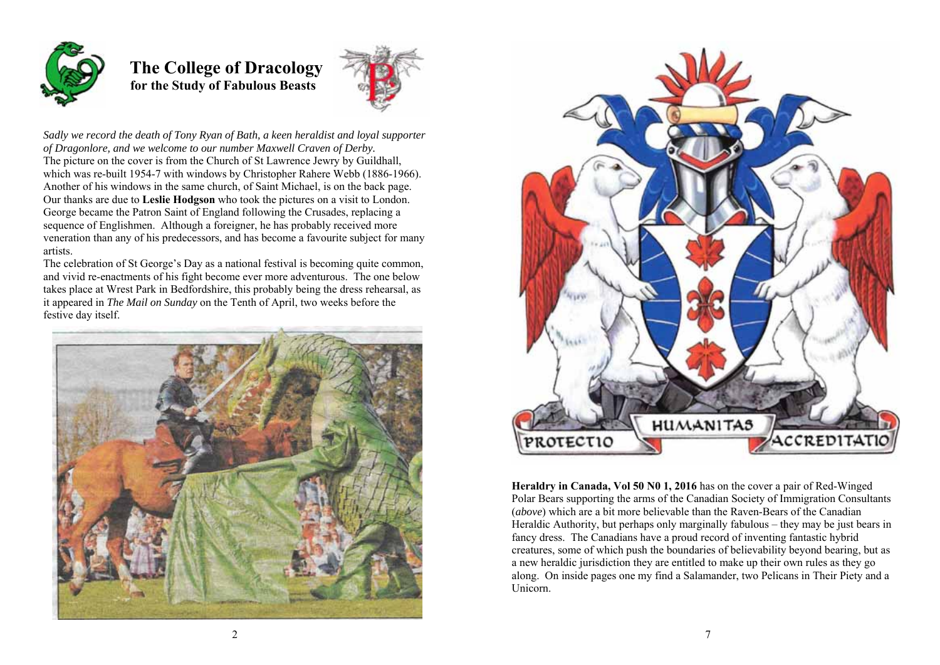

## **The College of Dracology for the Study of Fabulous Beasts**



*Sadly we record the death of Tony Ryan of Bath, a keen heraldist and loyal supporter of Dragonlore, and we welcome to our number Maxwell Craven of Derby.*  The picture on the cover is from the Church of St Lawrence Jewry by Guildhall, which was re-built 1954-7 with windows by Christopher Rahere Webb (1886-1966). Another of his windows in the same church, of Saint Michael, is on the back page. Our thanks are due to **Leslie Hodgson** who took the pictures on a visit to London. George became the Patron Saint of England following the Crusades, replacing a sequence of Englishmen. Although a foreigner, he has probably received more veneration than any of his predecessors, and has become a favourite subject for many artists.

The celebration of St George's Day as a national festival is becoming quite common, and vivid re-enactments of his fight become ever more adventurous. The one below takes place at Wrest Park in Bedfordshire, this probably being the dress rehearsal, as it appeared in *The Mail on Sunday* on the Tenth of April, two weeks before the festive day itself.





**Heraldry in Canada, Vol 50 N0 1, 2016** has on the cover a pair of Red-Winged Polar Bears supporting the arms of the Canadian Society of Immigration Consultants (*above*) which are a bit more believable than the Raven-Bears of the Canadian Heraldic Authority, but perhaps only marginally fabulous – they may be just bears in fancy dress. The Canadians have a proud record of inventing fantastic hybrid creatures, some of which push the boundaries of believability beyond bearing, but as a new heraldic jurisdiction they are entitled to make up their own rules as they go along. On inside pages one my find a Salamander, two Pelicans in Their Piety and a Unicorn.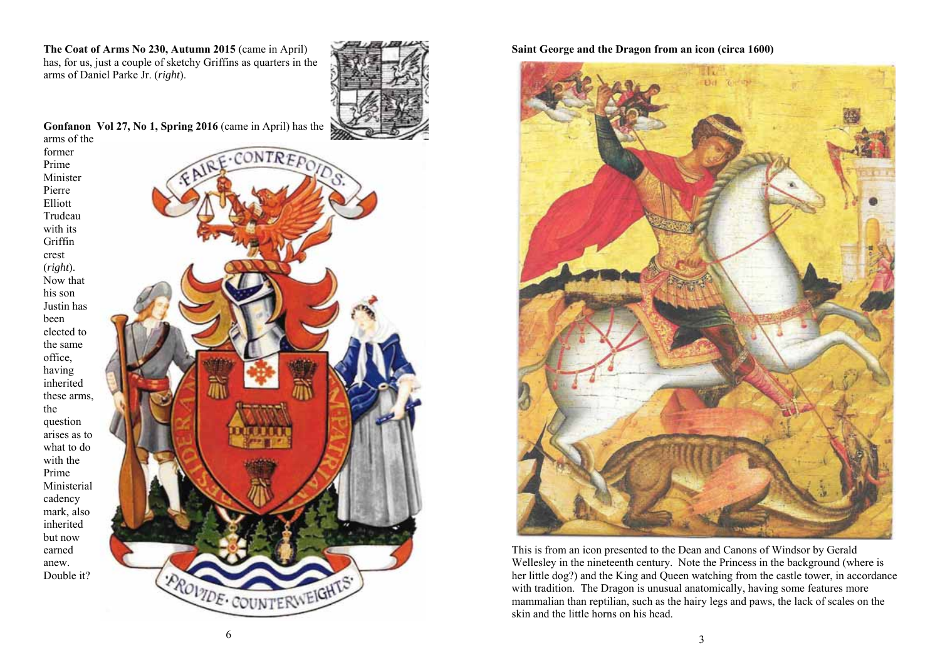**The Coat of Arms No 230, Autumn 2015** (came in April) has, for us, just a couple of sketchy Griffins as quarters in the arms of Daniel Parke Jr. (*right*).



**Gonfanon Vol 27, No 1, Spring 2016** (came in April) has the

arms of the former Prime Minister Pierre Elliott Trudeau with its Griffin crest (*right*). Now that his son Justin has been elected to the same office, having inherited these arms, the question arises as to what to do with the Prime Ministerial cadency mark, also inherited but now earned anew. Double it?



**Saint George and the Dragon from an icon (circa 1600)** 



This is from an icon presented to the Dean and Canons of Windsor by Gerald Wellesley in the nineteenth century. Note the Princess in the background (where is her little dog?) and the King and Queen watching from the castle tower, in accordance with tradition. The Dragon is unusual anatomically, having some features more mammalian than reptilian, such as the hairy legs and paws, the lack of scales on the skin and the little horns on his head.